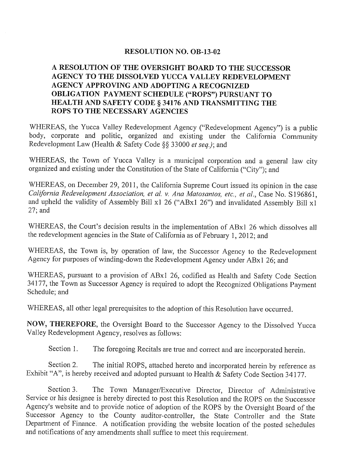### **RESOLUTION NO. OB-13-02**

## A RESOLUTION OF THE OVERSIGHT BOARD TO THE SUCCESSOR AGENCY TO THE DISSOLVED YUCCA VALLEY REDEVELOPMENT AGENCY APPROVING AND ADOPTING A RECOGNIZED OBLIGATION PAYMENT SCHEDULE ("ROPS") PURSUANT TO HEALTH AND SAFETY CODE § 34176 AND TRANSMITTING THE **ROPS TO THE NECESSARY AGENCIES**

WHEREAS, the Yucca Valley Redevelopment Agency ("Redevelopment Agency") is a public body, corporate and politic, organized and existing under the California Community Redevelopment Law (Health & Safety Code §§ 33000 et seq.); and

WHEREAS, the Town of Yucca Valley is a municipal corporation and a general law city organized and existing under the Constitution of the State of California ("City"); and

WHEREAS, on December 29, 2011, the California Supreme Court issued its opinion in the case California Redevelopment Association, et al. v. Ana Matosantos, etc., et al., Case No. S196861, and upheld the validity of Assembly Bill x1 26 ("ABx1 26") and invalidated Assembly Bill x1 27; and

WHEREAS, the Court's decision results in the implementation of ABx1 26 which dissolves all the redevelopment agencies in the State of California as of February 1, 2012; and

WHEREAS, the Town is, by operation of law, the Successor Agency to the Redevelopment Agency for purposes of winding-down the Redevelopment Agency under ABx1 26; and

WHEREAS, pursuant to a provision of ABx1 26, codified as Health and Safety Code Section 34177, the Town as Successor Agency is required to adopt the Recognized Obligations Payment Schedule; and

WHEREAS, all other legal prerequisites to the adoption of this Resolution have occurred.

NOW, THEREFORE, the Oversight Board to the Successor Agency to the Dissolved Yucca Valley Redevelopment Agency, resolves as follows:

Section 1. The foregoing Recitals are true and correct and are incorporated herein.

Section 2. The initial ROPS, attached hereto and incorporated herein by reference as Exhibit "A", is hereby received and adopted pursuant to Health & Safety Code Section 34177.

The Town Manager/Executive Director, Director of Administrative Section 3. Service or his designee is hereby directed to post this Resolution and the ROPS on the Successor Agency's website and to provide notice of adoption of the ROPS by the Oversight Board of the Successor Agency to the County auditor-controller, the State Controller and the State Department of Finance. A notification providing the website location of the posted schedules and notifications of any amendments shall suffice to meet this requirement.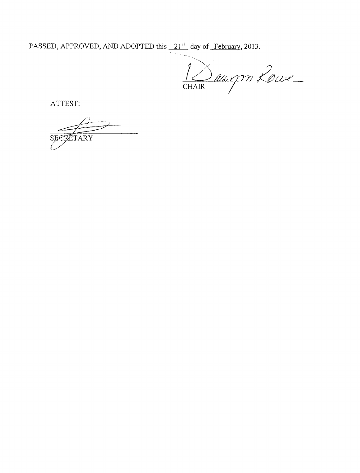PASSED, APPROVED, AND ADOPTED this  $\frac{21^{st}}{2}$  day of February, 2013.

1 Daugm Loue

ATTEST:

SEER ÉTARY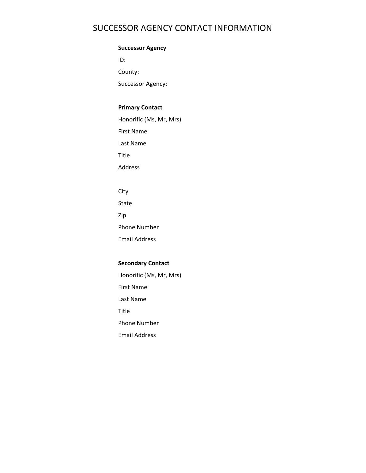# SUCCESSOR AGENCY CONTACT INFORMATION

### **Successor Agency**

ID:

County:

Successor Agency:

### **Primary Contact**

Honorific (Ms, Mr, Mrs)

First Name

Last Name

Title

Address

City

State

Zip

Phone Number

Email Address

### **Secondary Contact**

Honorific (Ms, Mr, Mrs)

First Name

Last Name

Title

Phone Number

Email Address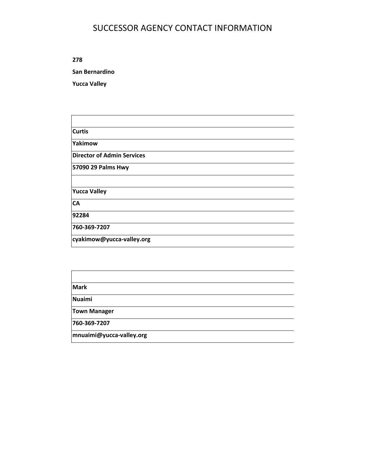# SUCCESSOR AGENCY CONTACT INFORMATION

**278**

**San Bernardino**

**Yucca Valley**

**Curtis**

**Yakimow**

**Director of Admin Services**

**57090 29 Palms Hwy**

**Yucca Valley**

**CA**

**92284**

**760‐369‐7207**

**cyakimow@yucca‐valley.org**

**Mark**

**Nuaimi**

**Town Manager**

**760‐369‐7207**

**mnuaimi@yucca‐valley.org**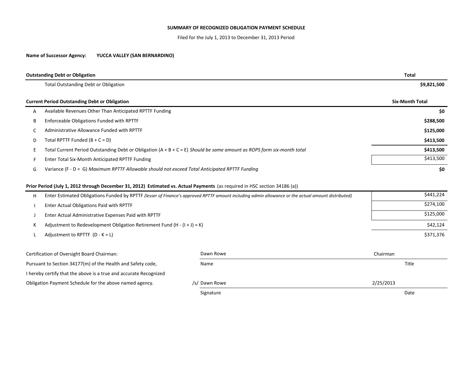#### **SUMMARY OF RECOGNIZED OBLIGATION PAYMENT SCHEDULE**

Filed for the July 1, 2013 to December 31, 2013 Period

#### **Name of Successor Agency: YUCCA VALLEY (SAN BERNARDINO)**

|    | <b>Outstanding Debt or Obligation</b>                                                                                    | <b>Total</b>           |
|----|--------------------------------------------------------------------------------------------------------------------------|------------------------|
|    | <b>Total Outstanding Debt or Obligation</b>                                                                              | \$9,821,500            |
|    | <b>Current Period Outstanding Debt or Obligation</b>                                                                     | <b>Six-Month Total</b> |
| A  | Available Revenues Other Than Anticipated RPTTF Funding                                                                  | \$0                    |
| B  | Enforceable Obligations Funded with RPTTF                                                                                | \$288,500              |
|    | Administrative Allowance Funded with RPTTF                                                                               | \$125,000              |
| D. | Total RPTTF Funded $(B + C = D)$                                                                                         | \$413,500              |
|    | Total Current Period Outstanding Debt or Obligation $(A + B + C = E)$ Should be same amount as ROPS form six-month total | \$413,500              |
|    | Enter Total Six-Month Anticipated RPTTF Funding                                                                          | \$413,500              |
| G  | Variance (F - D = G) Maximum RPTTF Allowable should not exceed Total Anticipated RPTTF Funding                           | \$0                    |

### **Prior Period (July 1, 2012 through December 31, 2012) Estimated vs. Actual Payments** (as required in HSC section 34186 (a))

|   |                                                                                                                                                    | Signature     |           | Date      |  |  |
|---|----------------------------------------------------------------------------------------------------------------------------------------------------|---------------|-----------|-----------|--|--|
|   | Obligation Payment Schedule for the above named agency.                                                                                            | /s/ Dawn Rowe | 2/25/2013 |           |  |  |
|   | I hereby certify that the above is a true and accurate Recognized                                                                                  |               |           |           |  |  |
|   | Pursuant to Section 34177(m) of the Health and Safety code,                                                                                        | Name          |           | Title     |  |  |
|   | Certification of Oversight Board Chairman:                                                                                                         | Dawn Rowe     | Chairman  |           |  |  |
|   | Adjustment to RPTTF $(D - K = L)$                                                                                                                  |               |           | \$371,376 |  |  |
| к | Adjustment to Redevelopment Obligation Retirement Fund $(H - (I + J) = K)$                                                                         |               | \$42,124  |           |  |  |
|   | Enter Actual Administrative Expenses Paid with RPTTF                                                                                               |               | \$125,000 |           |  |  |
|   | Enter Actual Obligations Paid with RPTTF                                                                                                           |               | \$274,100 |           |  |  |
| н | Enter Estimated Obligations Funded by RPTTF (lesser of Finance's approved RPTTF amount including admin allowance or the actual amount distributed) |               | \$441,224 |           |  |  |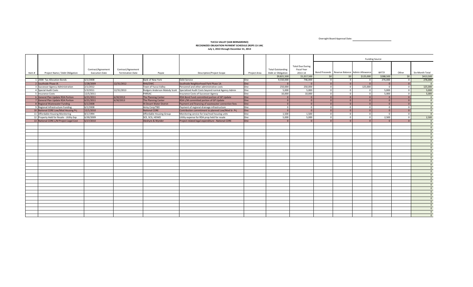Oversight Board Approval Date:

#### **YUCCA VALLEY (SAN BERNARDINO) RECOGNIZED OBLIGATION PAYMENT SCHEDULE (ROPS 13‐14A) July 1, 2013 through December 31, 2013**

|       |                                           |                       |                         |                                 |                                                                                  |              |                          |                                               | <b>Funding Source</b> |                                               |                |                |                         |                 |
|-------|-------------------------------------------|-----------------------|-------------------------|---------------------------------|----------------------------------------------------------------------------------|--------------|--------------------------|-----------------------------------------------|-----------------------|-----------------------------------------------|----------------|----------------|-------------------------|-----------------|
|       |                                           |                       |                         |                                 |                                                                                  |              |                          |                                               |                       |                                               |                |                |                         |                 |
|       |                                           | Contract/Agreement    | Contract/Agreement      |                                 |                                                                                  |              | <b>Total Outstanding</b> | <b>Total Due During</b><br><b>Fiscal Year</b> |                       |                                               |                |                |                         |                 |
| Item# | Project Name / Debt Obligation            | <b>Execution Date</b> | <b>Termination Date</b> | Payee                           | <b>Description/Project Scope</b>                                                 | Project Area | Debt or Obligation       | 2013-14                                       |                       | Bond Proceeds Reserve Balance Admin Allowance |                | RPTTF          | Other                   | Six-Month Total |
|       |                                           |                       |                         |                                 |                                                                                  |              | \$9,821,500              | \$1,017,500                                   | 50 <sup>1</sup>       | \$0                                           | \$125,000      | \$288,500      | 50 <sup>1</sup>         | \$413,500       |
|       | 1 2008 Tax Allocation Bonds               | 6/1/2008              |                         | <b>Bank of New York</b>         | Debt Service                                                                     | One          | 9,550,000                | 746,000                                       | $\circ$               | $\mathbf 0$                                   | $\overline{0}$ | 276,000        | $\overline{0}$          | 276,000         |
|       | 2 Southside Phase IA                      | 5/28/2009             | 12/31/2012              | RHA/DWC                         | Southside Neighborhood Park Phase 1A                                             | lOne         | $\Omega$                 | $\Omega$                                      | $\circ$               | $\mathbf{0}$                                  | $\Omega$       |                | $\overline{0}$          | $\overline{0}$  |
|       | 3 Successor Agency Administration         | 2/1/2012              |                         | Town of Yucca Valley            | Personnel and other administrative costs                                         | One          | 250,000                  | 250,000                                       | $\overline{0}$        | $\overline{0}$                                | 125,000        | $\overline{0}$ | $\overline{\mathbf{0}}$ | 125,000         |
|       | 4 Special Audit Costs                     | 5/3/2011              | 12/31/2013              |                                 | Rodgers Anderson Malody Scott Specialized Audit Costs beyond normal Agency Admin | One          | 5.000                    | 5.000                                         | $\overline{0}$        | $\Omega$                                      | $\overline{0}$ | 5.000          | $\overline{0}$          | 5,000           |
|       | 5 Insurance Costs                         | 12/5/2011             |                         | PARSAC                          | <b>Insurance Costs of Successor Agency</b>                                       | One          | 10,000                   | 10,000                                        | $\circ$               | $\Omega$                                      | $\overline{0}$ | 5,000          | $\mathbf{0}$            | 5,000           |
|       | 6 General Plan Update RDA Portion         | 6/21/2011             | 6/30/2013               | The Planning Center             | RDA Bond Fund committed portion of GP Update                                     | One          | $\Omega$                 | $\Omega$                                      | $\Omega$              | $\Omega$                                      | $\Omega$       | $\Omega$       | $\overline{0}$          | $\Omega$        |
|       | 7 General Plan Update RDA Portion         | 6/21/2011             | 6/30/2013               | The Planning Center             | RDA L/M committed portion of GP Update                                           | One          | $\Omega$                 | $\Omega$                                      | $\Omega$              | $\Omega$                                      |                | $\Omega$       | $\overline{0}$          | $\overline{0}$  |
|       | 8 Regional Wastewater Funding             | 6/1/2008              |                         | <b>Hi Desert Water District</b> | Payment and financing of wastewater connection fees                              | One          | $\Omega$                 | $\overline{\mathbf{0}}$                       | $\Omega$              | $\Omega$                                      |                | $\Omega$       | $\Omega$                | $\Omega$        |
|       | 9 Regional Infrastructure Funding         | 6/1/2008              |                         | Army Corp/TBD                   | Payment of regional drainage infrastructure                                      | One          | $\circ$                  | $\overline{0}$                                | $\circ$               | $\Omega$                                      | $\overline{0}$ | $\overline{0}$ | $\overline{0}$          | $\Omega$        |
|       | 10 National CORE Low/Mod Housing Pri      | 12/1/2010             |                         | <b>National CORE</b>            | Contribution commitment to planned Low/Mod Sr. Prj                               | One          | $\Omega$                 | $\overline{\mathbf{0}}$                       | $\circ$               | $\mathbf{0}$                                  | $\overline{0}$ | $\overline{0}$ | $\overline{0}$          | $\overline{0}$  |
|       | 11 Affordable Housing Monitoring          | 8/1/1994              |                         | Affordable Housing Group        | Monitoring service for low/mod housing units                                     | One          | 1,500                    | 1,500                                         | $\circ$               | $\Omega$                                      | $\Omega$       | $\Omega$       | $\overline{0}$          | $\Omega$        |
|       | 12 Property Held for Resale - Utility Exp | 6/30/2009             |                         | SCE, SCG, HDWD                  | Utility expense for RDA prop held for resale                                     | One          | 5.000                    | 5,000                                         | $\overline{0}$        | $\Omega$                                      | $\overline{0}$ | 2.500          | $\overline{\mathbf{0}}$ | 2,500           |
|       | 13 National CORE L/M Project Legal Cost   | 6/17/2010             |                         | Aleshyre & Wynder               | Project related legal expenditure - National CORE                                | One          | $\Omega$                 | $\Omega$                                      | $\circ$               | $\Omega$                                      | $\Omega$       |                | $\overline{0}$          | $\overline{0}$  |
|       |                                           |                       |                         |                                 |                                                                                  |              |                          |                                               |                       |                                               |                |                |                         | $\overline{0}$  |
|       |                                           |                       |                         |                                 |                                                                                  |              |                          |                                               |                       |                                               |                |                |                         | $\Omega$        |
|       |                                           |                       |                         |                                 |                                                                                  |              |                          |                                               |                       |                                               |                |                |                         | $\Omega$        |
|       |                                           |                       |                         |                                 |                                                                                  |              |                          |                                               |                       |                                               |                |                |                         | $\Omega$        |
|       |                                           |                       |                         |                                 |                                                                                  |              |                          |                                               |                       |                                               |                |                |                         | $\Omega$        |
|       |                                           |                       |                         |                                 |                                                                                  |              |                          |                                               |                       |                                               |                |                |                         | $\Omega$        |
|       |                                           |                       |                         |                                 |                                                                                  |              |                          |                                               |                       |                                               |                |                |                         | $\overline{0}$  |
|       |                                           |                       |                         |                                 |                                                                                  |              |                          |                                               |                       |                                               |                |                |                         | $\Omega$        |
|       |                                           |                       |                         |                                 |                                                                                  |              |                          |                                               |                       |                                               |                |                |                         | $\Omega$        |
|       |                                           |                       |                         |                                 |                                                                                  |              |                          |                                               |                       |                                               |                |                |                         | $\overline{0}$  |
|       |                                           |                       |                         |                                 |                                                                                  |              |                          |                                               |                       |                                               |                |                |                         | $\Omega$        |
|       |                                           |                       |                         |                                 |                                                                                  |              |                          |                                               |                       |                                               |                |                |                         | $\Omega$        |
|       |                                           |                       |                         |                                 |                                                                                  |              |                          |                                               |                       |                                               |                |                |                         | $\Omega$        |
|       |                                           |                       |                         |                                 |                                                                                  |              |                          |                                               |                       |                                               |                |                |                         | $\Omega$        |
|       |                                           |                       |                         |                                 |                                                                                  |              |                          |                                               |                       |                                               |                |                |                         | $\Omega$        |
|       |                                           |                       |                         |                                 |                                                                                  |              |                          |                                               |                       |                                               |                |                |                         | $\Omega$        |
|       |                                           |                       |                         |                                 |                                                                                  |              |                          |                                               |                       |                                               |                |                |                         | $\Omega$        |
|       |                                           |                       |                         |                                 |                                                                                  |              |                          |                                               |                       |                                               |                |                |                         | $\Omega$        |
|       |                                           |                       |                         |                                 |                                                                                  |              |                          |                                               |                       |                                               |                |                |                         | $\overline{0}$  |
|       |                                           |                       |                         |                                 |                                                                                  |              |                          |                                               |                       |                                               |                |                |                         | $\Omega$        |
|       |                                           |                       |                         |                                 |                                                                                  |              |                          |                                               |                       |                                               |                |                |                         | $\overline{0}$  |
|       |                                           |                       |                         |                                 |                                                                                  |              |                          |                                               |                       |                                               |                |                |                         | $\Omega$        |
|       |                                           |                       |                         |                                 |                                                                                  |              |                          |                                               |                       |                                               |                |                |                         | $\Omega$        |
|       |                                           |                       |                         |                                 |                                                                                  |              |                          |                                               |                       |                                               |                |                |                         | $\Omega$        |
|       |                                           |                       |                         |                                 |                                                                                  |              |                          |                                               |                       |                                               |                |                |                         | $\Omega$        |
|       |                                           |                       |                         |                                 |                                                                                  |              |                          |                                               |                       |                                               |                |                |                         | $\Omega$        |
|       |                                           |                       |                         |                                 |                                                                                  |              |                          |                                               |                       |                                               |                |                |                         | $\Omega$        |
|       |                                           |                       |                         |                                 |                                                                                  |              |                          |                                               |                       |                                               |                |                |                         | $\Omega$        |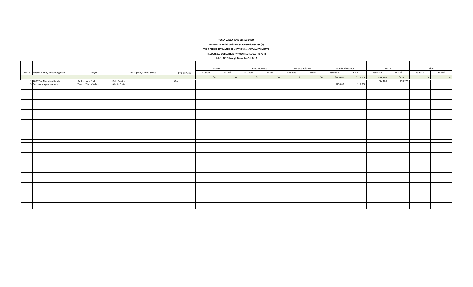**YUCCA VALLEY (SAN BERNARDINO)**

**Pursuant to Health and Safety Code section 34186 (a)**

**PRIOR PERIOD ESTIMATED OBLIGATIONS vs. ACTUAL PAYMENTS**

**RECOGNIZED OBLIGATION PAYMENT SCHEDULE (ROPS II)**

**July 1, 2012 through December 31, 2012**

|        |                                       |                      |                                  |              | LMIHF    |        | <b>Bond Proceeds</b> |        | Reserve Balance |        | Admin Allowance |           | RPTTF     |           | Other    |        |
|--------|---------------------------------------|----------------------|----------------------------------|--------------|----------|--------|----------------------|--------|-----------------|--------|-----------------|-----------|-----------|-----------|----------|--------|
|        | Item # Project Name / Debt Obligation | Payee                | <b>Description/Project Scope</b> | Project Area | Estimate | Actual | Estimate             | Actual | Estimate        | Actual | Estimate        | Actual    | Estimate  | Actual    | Estimate | Actual |
|        |                                       |                      |                                  |              | \$0      | \$0    | \$0                  | \$0    | \$0             | \$0    | \$125,000       | \$125,000 | \$274,100 | \$278,273 | \$0      | \$0    |
|        |                                       | Bank of New York     | Debt Service                     | One          |          |        |                      |        |                 |        |                 |           | 274,100   | 278,273   |          |        |
|        | 1 2008 Tax Allocation Bonds           |                      |                                  |              |          |        |                      |        |                 |        |                 |           |           |           |          |        |
|        | 3 Successor Agency Admin              | Town of Yucca Valley | <b>Admin Costs</b>               |              |          |        |                      |        |                 |        | 125,000         | 125,000   |           |           |          |        |
|        |                                       |                      |                                  |              |          |        |                      |        |                 |        |                 |           |           |           |          |        |
|        |                                       |                      |                                  |              |          |        |                      |        |                 |        |                 |           |           |           |          |        |
|        |                                       |                      |                                  |              |          |        |                      |        |                 |        |                 |           |           |           |          |        |
|        |                                       |                      |                                  |              |          |        |                      |        |                 |        |                 |           |           |           |          |        |
|        |                                       |                      |                                  |              |          |        |                      |        |                 |        |                 |           |           |           |          |        |
|        |                                       |                      |                                  |              |          |        |                      |        |                 |        |                 |           |           |           |          |        |
| --     |                                       |                      |                                  |              |          |        |                      |        |                 |        |                 |           |           |           |          |        |
|        |                                       |                      |                                  |              |          |        |                      |        |                 |        |                 |           |           |           |          |        |
|        |                                       |                      |                                  |              |          |        |                      |        |                 |        |                 |           |           |           |          |        |
| -      |                                       |                      |                                  |              |          |        |                      |        |                 |        |                 |           |           |           |          |        |
| -      |                                       |                      |                                  |              |          |        |                      |        |                 |        |                 |           |           |           |          |        |
|        |                                       |                      |                                  |              |          |        |                      |        |                 |        |                 |           |           |           |          |        |
|        |                                       |                      |                                  |              |          |        |                      |        |                 |        |                 |           |           |           |          |        |
|        |                                       |                      |                                  |              |          |        |                      |        |                 |        |                 |           |           |           |          |        |
|        |                                       |                      |                                  |              |          |        |                      |        |                 |        |                 |           |           |           |          |        |
|        |                                       |                      |                                  |              |          |        |                      |        |                 |        |                 |           |           |           |          |        |
| -      |                                       |                      |                                  |              |          |        |                      |        |                 |        |                 |           |           |           |          |        |
|        |                                       |                      |                                  |              |          |        |                      |        |                 |        |                 |           |           |           |          |        |
|        |                                       |                      |                                  |              |          |        |                      |        |                 |        |                 |           |           |           |          |        |
|        |                                       |                      |                                  |              |          |        |                      |        |                 |        |                 |           |           |           |          |        |
|        |                                       |                      |                                  |              |          |        |                      |        |                 |        |                 |           |           |           |          |        |
|        |                                       |                      |                                  |              |          |        |                      |        |                 |        |                 |           |           |           |          |        |
| -      |                                       |                      |                                  |              |          |        |                      |        |                 |        |                 |           |           |           |          |        |
|        |                                       |                      |                                  |              |          |        |                      |        |                 |        |                 |           |           |           |          |        |
| -      |                                       |                      |                                  |              |          |        |                      |        |                 |        |                 |           |           |           |          |        |
|        |                                       |                      |                                  |              |          |        |                      |        |                 |        |                 |           |           |           |          |        |
|        |                                       |                      |                                  |              |          |        |                      |        |                 |        |                 |           |           |           |          |        |
| --     |                                       |                      |                                  |              |          |        |                      |        |                 |        |                 |           |           |           |          |        |
|        |                                       |                      |                                  |              |          |        |                      |        |                 |        |                 |           |           |           |          |        |
|        |                                       |                      |                                  |              |          |        |                      |        |                 |        |                 |           |           |           |          |        |
| -      |                                       |                      |                                  |              |          |        |                      |        |                 |        |                 |           |           |           |          |        |
| $\sim$ |                                       |                      |                                  |              |          |        |                      |        |                 |        |                 |           |           |           |          |        |
|        |                                       |                      |                                  |              |          |        |                      |        |                 |        |                 |           |           |           |          |        |
| $\sim$ |                                       |                      |                                  |              |          |        |                      |        |                 |        |                 |           |           |           |          |        |
|        |                                       |                      |                                  |              |          |        |                      |        |                 |        |                 |           |           |           |          |        |
|        |                                       |                      |                                  |              |          |        |                      |        |                 |        |                 |           |           |           |          |        |
| —      |                                       |                      |                                  |              |          |        |                      |        |                 |        |                 |           |           |           |          |        |
|        |                                       |                      |                                  |              |          |        |                      |        |                 |        |                 |           |           |           |          |        |